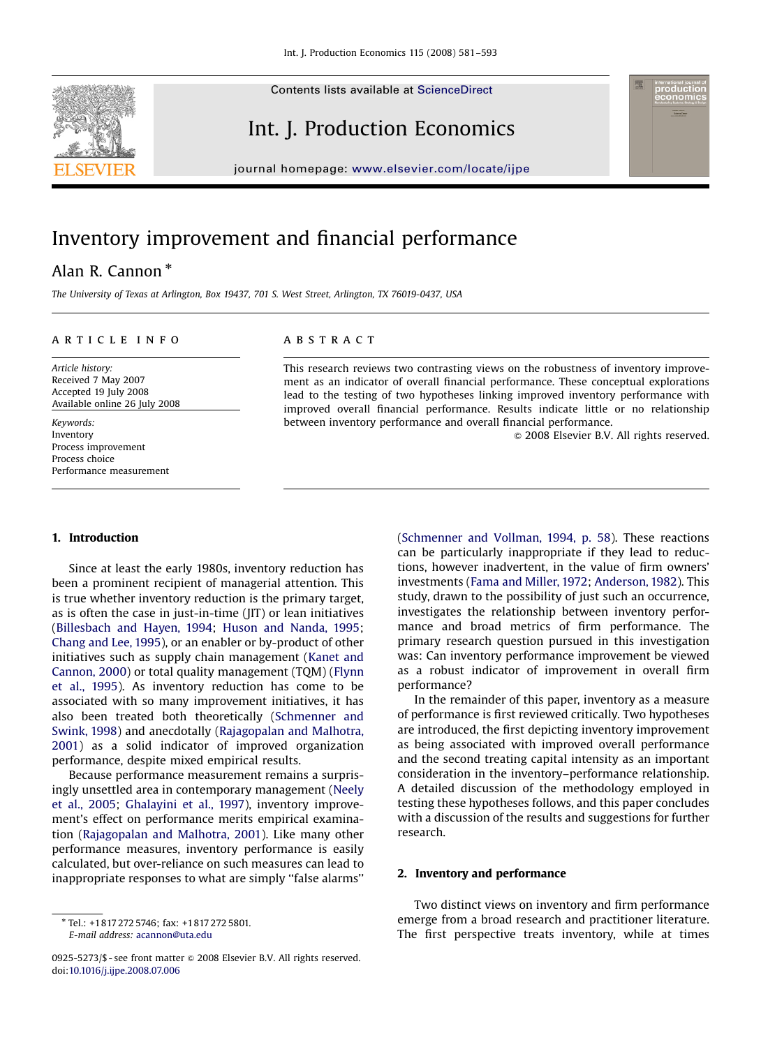Contents lists available at [ScienceDirect](www.sciencedirect.com/science/journal/proeco)



journal homepage: <www.elsevier.com/locate/ijpe>

## Inventory improvement and financial performance

### Alan R. Cannon  $^{\ast}$

The University of Texas at Arlington, Box 19437, 701 S. West Street, Arlington, TX 76019-0437, USA

#### article info

Article history: Received 7 May 2007 Accepted 19 July 2008 Available online 26 July 2008

Keywords: Inventory Process improvement Process choice Performance measurement

#### **ABSTRACT**

This research reviews two contrasting views on the robustness of inventory improvement as an indicator of overall financial performance. These conceptual explorations lead to the testing of two hypotheses linking improved inventory performance with improved overall financial performance. Results indicate little or no relationship between inventory performance and overall financial performance.

 $\odot$  2008 Elsevier B.V. All rights reserved.

### 1. Introduction

Since at least the early 1980s, inventory reduction has been a prominent recipient of managerial attention. This is true whether inventory reduction is the primary target, as is often the case in just-in-time (JIT) or lean initiatives ([Billesbach and Hayen, 1994;](#page--1-0) [Huson and Nanda, 1995](#page--1-0); [Chang and Lee, 1995](#page--1-0)), or an enabler or by-product of other initiatives such as supply chain management ([Kanet and](#page--1-0) [Cannon, 2000\)](#page--1-0) or total quality management (TQM) ([Flynn](#page--1-0) [et al., 1995\)](#page--1-0). As inventory reduction has come to be associated with so many improvement initiatives, it has also been treated both theoretically [\(Schmenner and](#page--1-0) [Swink, 1998](#page--1-0)) and anecdotally ([Rajagopalan and Malhotra,](#page--1-0) [2001](#page--1-0)) as a solid indicator of improved organization performance, despite mixed empirical results.

Because performance measurement remains a surprisingly unsettled area in contemporary management [\(Neely](#page--1-0) [et al., 2005](#page--1-0); [Ghalayini et al., 1997](#page--1-0)), inventory improvement's effect on performance merits empirical examination ([Rajagopalan and Malhotra, 2001](#page--1-0)). Like many other performance measures, inventory performance is easily calculated, but over-reliance on such measures can lead to inappropriate responses to what are simply ''false alarms''

E-mail address: [acannon@uta.edu](mailto:acannon@uta.edu)

[\(Schmenner and Vollman, 1994, p. 58](#page--1-0)). These reactions can be particularly inappropriate if they lead to reductions, however inadvertent, in the value of firm owners' investments ([Fama and Miller, 1972;](#page--1-0) [Anderson, 1982](#page--1-0)). This study, drawn to the possibility of just such an occurrence, investigates the relationship between inventory performance and broad metrics of firm performance. The primary research question pursued in this investigation was: Can inventory performance improvement be viewed as a robust indicator of improvement in overall firm performance?

In the remainder of this paper, inventory as a measure of performance is first reviewed critically. Two hypotheses are introduced, the first depicting inventory improvement as being associated with improved overall performance and the second treating capital intensity as an important consideration in the inventory–performance relationship. A detailed discussion of the methodology employed in testing these hypotheses follows, and this paper concludes with a discussion of the results and suggestions for further research.

#### 2. Inventory and performance

Two distinct views on inventory and firm performance emerge from a broad research and practitioner literature. The first perspective treats inventory, while at times

<sup>-</sup> Tel.: +1817 272 5746; fax: +1817 272 5801.

<sup>0925-5273/\$ -</sup> see front matter  $\circ$  2008 Elsevier B.V. All rights reserved. doi:[10.1016/j.ijpe.2008.07.006](dx.doi.org/10.1016/j.ijpe.2008.07.006)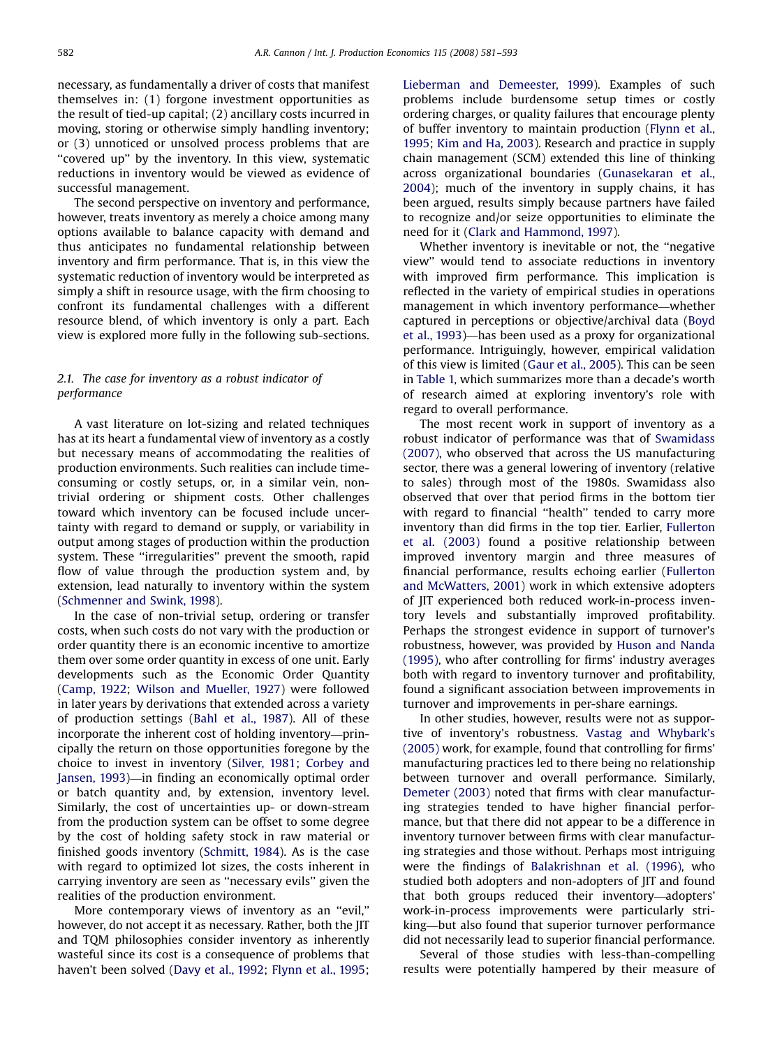necessary, as fundamentally a driver of costs that manifest themselves in: (1) forgone investment opportunities as the result of tied-up capital; (2) ancillary costs incurred in moving, storing or otherwise simply handling inventory; or (3) unnoticed or unsolved process problems that are "covered up" by the inventory. In this view, systematic reductions in inventory would be viewed as evidence of successful management.

The second perspective on inventory and performance, however, treats inventory as merely a choice among many options available to balance capacity with demand and thus anticipates no fundamental relationship between inventory and firm performance. That is, in this view the systematic reduction of inventory would be interpreted as simply a shift in resource usage, with the firm choosing to confront its fundamental challenges with a different resource blend, of which inventory is only a part. Each view is explored more fully in the following sub-sections.

#### 2.1. The case for inventory as a robust indicator of performance

A vast literature on lot-sizing and related techniques has at its heart a fundamental view of inventory as a costly but necessary means of accommodating the realities of production environments. Such realities can include timeconsuming or costly setups, or, in a similar vein, nontrivial ordering or shipment costs. Other challenges toward which inventory can be focused include uncertainty with regard to demand or supply, or variability in output among stages of production within the production system. These ''irregularities'' prevent the smooth, rapid flow of value through the production system and, by extension, lead naturally to inventory within the system ([Schmenner and Swink, 1998\)](#page--1-0).

In the case of non-trivial setup, ordering or transfer costs, when such costs do not vary with the production or order quantity there is an economic incentive to amortize them over some order quantity in excess of one unit. Early developments such as the Economic Order Quantity ([Camp, 1922;](#page--1-0) [Wilson and Mueller, 1927](#page--1-0)) were followed in later years by derivations that extended across a variety of production settings [\(Bahl et al., 1987\)](#page--1-0). All of these incorporate the inherent cost of holding inventory—principally the return on those opportunities foregone by the choice to invest in inventory ([Silver, 1981;](#page--1-0) [Corbey and](#page--1-0) [Jansen, 1993](#page--1-0))—in finding an economically optimal order or batch quantity and, by extension, inventory level. Similarly, the cost of uncertainties up- or down-stream from the production system can be offset to some degree by the cost of holding safety stock in raw material or finished goods inventory ([Schmitt, 1984](#page--1-0)). As is the case with regard to optimized lot sizes, the costs inherent in carrying inventory are seen as ''necessary evils'' given the realities of the production environment.

More contemporary views of inventory as an ''evil,'' however, do not accept it as necessary. Rather, both the JIT and TQM philosophies consider inventory as inherently wasteful since its cost is a consequence of problems that haven't been solved [\(Davy et al., 1992](#page--1-0); [Flynn et al., 1995](#page--1-0);

[Lieberman and Demeester, 1999\)](#page--1-0). Examples of such problems include burdensome setup times or costly ordering charges, or quality failures that encourage plenty of buffer inventory to maintain production ([Flynn et al.,](#page--1-0) [1995;](#page--1-0) [Kim and Ha, 2003\)](#page--1-0). Research and practice in supply chain management (SCM) extended this line of thinking across organizational boundaries ([Gunasekaran et al.,](#page--1-0) [2004](#page--1-0)); much of the inventory in supply chains, it has been argued, results simply because partners have failed to recognize and/or seize opportunities to eliminate the need for it [\(Clark and Hammond, 1997\)](#page--1-0).

Whether inventory is inevitable or not, the ''negative view'' would tend to associate reductions in inventory with improved firm performance. This implication is reflected in the variety of empirical studies in operations management in which inventory performance—whether captured in perceptions or objective/archival data [\(Boyd](#page--1-0) [et al., 1993\)](#page--1-0)—has been used as a proxy for organizational performance. Intriguingly, however, empirical validation of this view is limited [\(Gaur et al., 2005](#page--1-0)). This can be seen in [Table 1,](#page--1-0) which summarizes more than a decade's worth of research aimed at exploring inventory's role with regard to overall performance.

The most recent work in support of inventory as a robust indicator of performance was that of [Swamidass](#page--1-0) [\(2007\)](#page--1-0), who observed that across the US manufacturing sector, there was a general lowering of inventory (relative to sales) through most of the 1980s. Swamidass also observed that over that period firms in the bottom tier with regard to financial ''health'' tended to carry more inventory than did firms in the top tier. Earlier, [Fullerton](#page--1-0) [et al. \(2003\)](#page--1-0) found a positive relationship between improved inventory margin and three measures of financial performance, results echoing earlier ([Fullerton](#page--1-0) [and McWatters, 2001](#page--1-0)) work in which extensive adopters of JIT experienced both reduced work-in-process inventory levels and substantially improved profitability. Perhaps the strongest evidence in support of turnover's robustness, however, was provided by [Huson and Nanda](#page--1-0) [\(1995\),](#page--1-0) who after controlling for firms' industry averages both with regard to inventory turnover and profitability, found a significant association between improvements in turnover and improvements in per-share earnings.

In other studies, however, results were not as supportive of inventory's robustness. [Vastag and Whybark's](#page--1-0) [\(2005\)](#page--1-0) work, for example, found that controlling for firms' manufacturing practices led to there being no relationship between turnover and overall performance. Similarly, [Demeter \(2003\)](#page--1-0) noted that firms with clear manufacturing strategies tended to have higher financial performance, but that there did not appear to be a difference in inventory turnover between firms with clear manufacturing strategies and those without. Perhaps most intriguing were the findings of [Balakrishnan et al. \(1996\)](#page--1-0), who studied both adopters and non-adopters of JIT and found that both groups reduced their inventory—adopters' work-in-process improvements were particularly striking—but also found that superior turnover performance did not necessarily lead to superior financial performance.

Several of those studies with less-than-compelling results were potentially hampered by their measure of